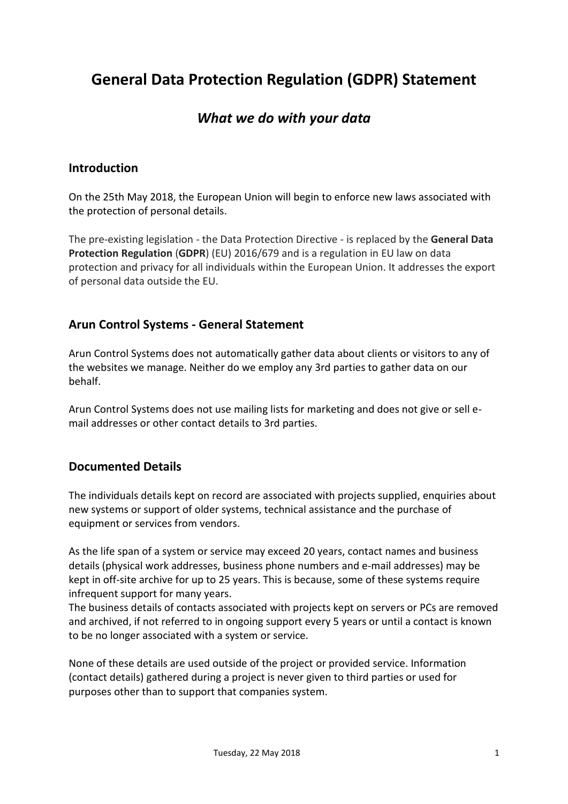# **General Data Protection Regulation (GDPR) Statement**

# *What we do with your data*

#### **Introduction**

On the 25th May 2018, the European Union will begin to enforce new laws associated with the protection of personal details.

The pre-existing legislation - the Data Protection Directive - is replaced by the **General Data Protection Regulation** (**GDPR**) (EU) 2016/679 and is a regulation in EU law on data protection and privacy for all individuals within the European Union. It addresses the export of personal data outside the EU.

#### **Arun Control Systems - General Statement**

Arun Control Systems does not automatically gather data about clients or visitors to any of the websites we manage. Neither do we employ any 3rd parties to gather data on our behalf.

Arun Control Systems does not use mailing lists for marketing and does not give or sell email addresses or other contact details to 3rd parties.

#### **Documented Details**

The individuals details kept on record are associated with projects supplied, enquiries about new systems or support of older systems, technical assistance and the purchase of equipment or services from vendors.

As the life span of a system or service may exceed 20 years, contact names and business details (physical work addresses, business phone numbers and e-mail addresses) may be kept in off-site archive for up to 25 years. This is because, some of these systems require infrequent support for many years.

The business details of contacts associated with projects kept on servers or PCs are removed and archived, if not referred to in ongoing support every 5 years or until a contact is known to be no longer associated with a system or service.

None of these details are used outside of the project or provided service. Information (contact details) gathered during a project is never given to third parties or used for purposes other than to support that companies system.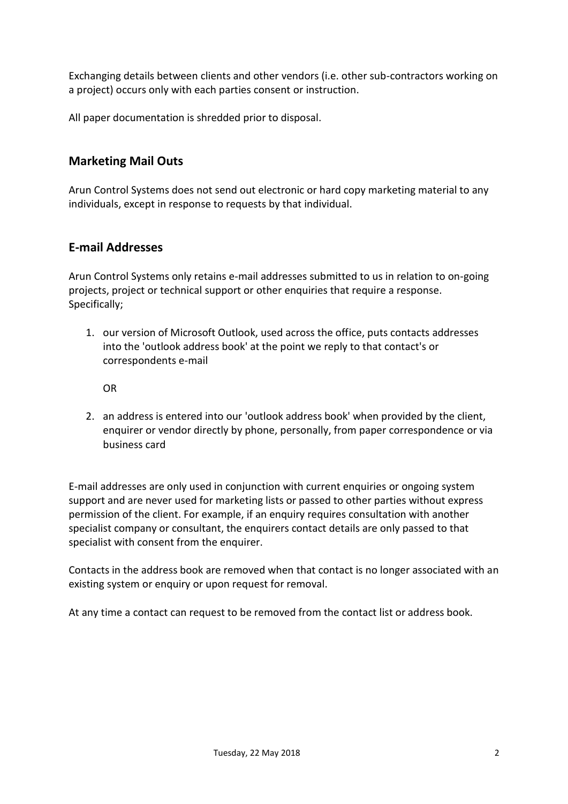Exchanging details between clients and other vendors (i.e. other sub-contractors working on a project) occurs only with each parties consent or instruction.

All paper documentation is shredded prior to disposal.

#### **Marketing Mail Outs**

Arun Control Systems does not send out electronic or hard copy marketing material to any individuals, except in response to requests by that individual.

#### **E-mail Addresses**

Arun Control Systems only retains e-mail addresses submitted to us in relation to on-going projects, project or technical support or other enquiries that require a response. Specifically;

1. our version of Microsoft Outlook, used across the office, puts contacts addresses into the 'outlook address book' at the point we reply to that contact's or correspondents e-mail

OR

2. an address is entered into our 'outlook address book' when provided by the client, enquirer or vendor directly by phone, personally, from paper correspondence or via business card

E-mail addresses are only used in conjunction with current enquiries or ongoing system support and are never used for marketing lists or passed to other parties without express permission of the client. For example, if an enquiry requires consultation with another specialist company or consultant, the enquirers contact details are only passed to that specialist with consent from the enquirer.

Contacts in the address book are removed when that contact is no longer associated with an existing system or enquiry or upon request for removal.

At any time a contact can request to be removed from the contact list or address book.